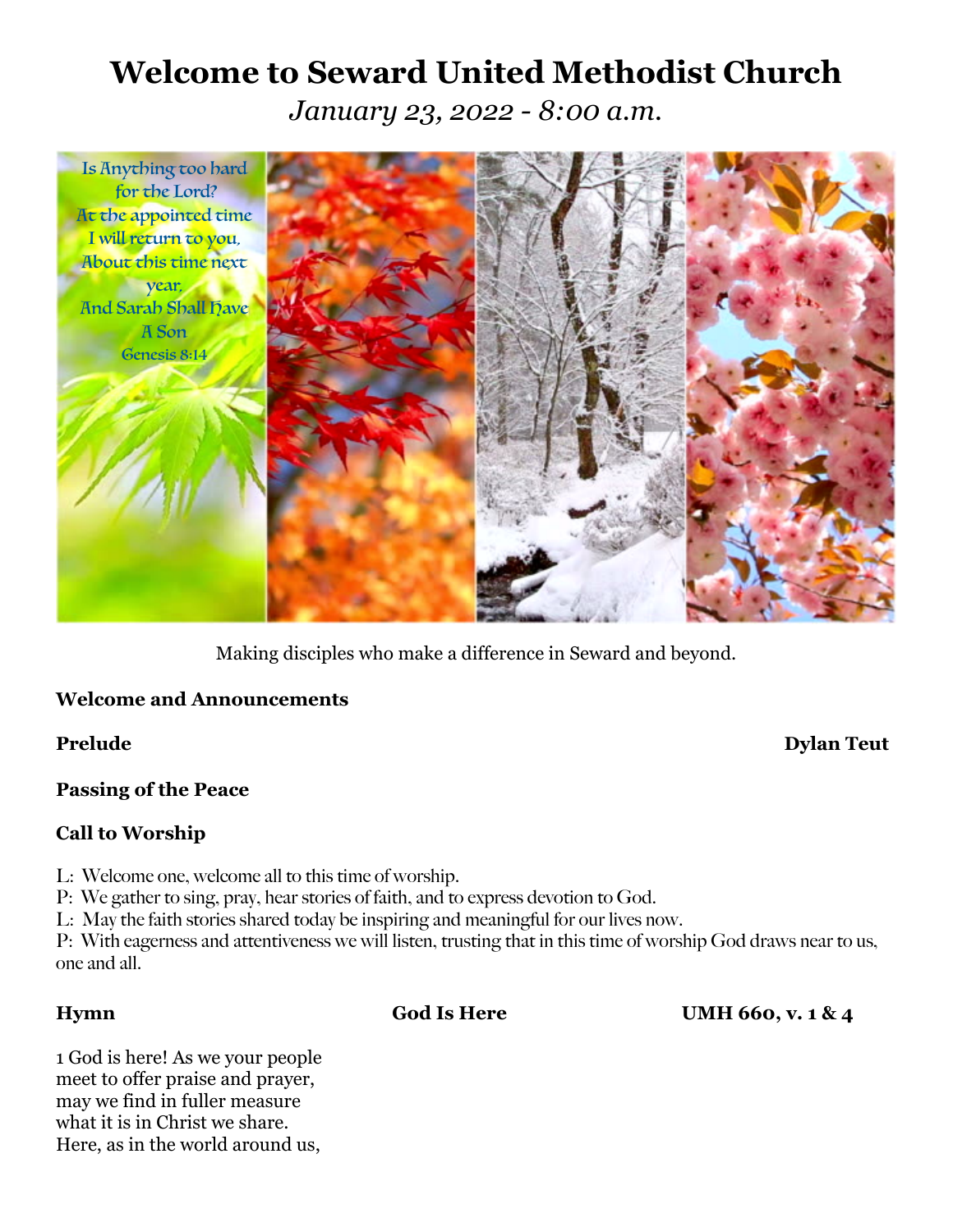# **Welcome to Seward United Methodist Church** *January 23, 2022 - 8:00 a.m.*



Making disciples who make a difference in Seward and beyond.

### **Welcome and Announcements**

### **Passing of the Peace**

### **Call to Worship**

- L: Welcome one, welcome all to this time of worship.
- P: We gather to sing, pray, hear stories of faith, and to express devotion to God.
- L: May the faith stories shared today be inspiring and meaningful for our lives now.

P: With eagerness and attentiveness we will listen, trusting that in this time of worship God draws near to us, one and all.

**Hymn God Is Here UMH 660, v. 1 & 4** 

1 God is here! As we your people meet to offer praise and prayer, may we find in fuller measure what it is in Christ we share. Here, as in the world around us,

### **Prelude Dylan Teut**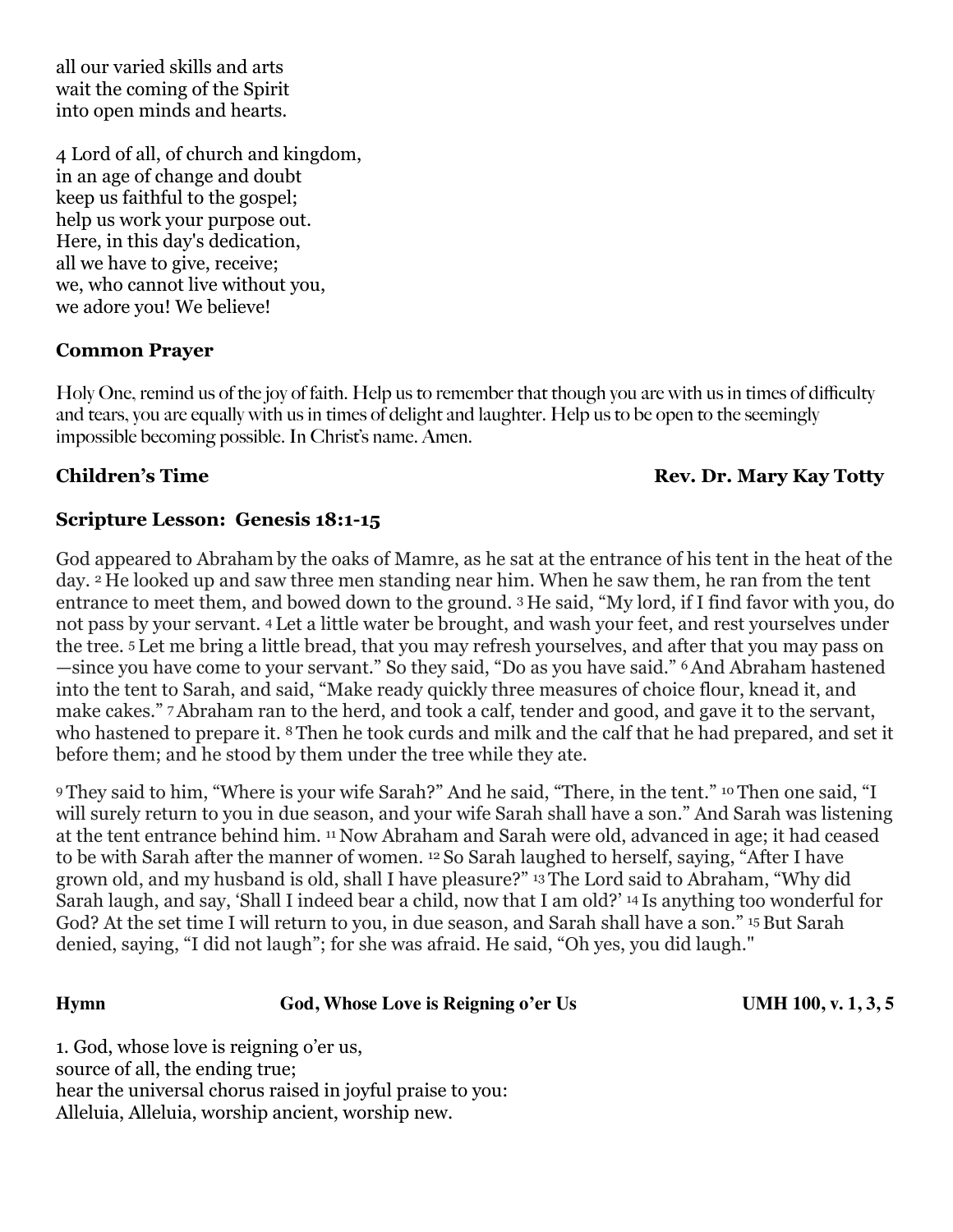all our varied skills and arts wait the coming of the Spirit into open minds and hearts.

4 Lord of all, of church and kingdom, in an age of change and doubt keep us faithful to the gospel; help us work your purpose out. Here, in this day's dedication, all we have to give, receive; we, who cannot live without you, we adore you! We believe!

### **Common Prayer**

Holy One, remind us of the joy of faith. Help us to remember that though you are with us in times of difficulty and tears, you are equally with us in times of delight and laughter. Help us to be open to the seemingly impossible becoming possible. In Christ's name. Amen.

### **Children's Time Rev. Dr. Mary Kay Totty**

### **Scripture Lesson: Genesis 18:1-15**

God appeared to Abraham by the oaks of Mamre, as he sat at the entrance of his tent in the heat of the day. <sup>2</sup> He looked up and saw three men standing near him. When he saw them, he ran from the tent entrance to meet them, and bowed down to the ground. <sup>3</sup> He said, "My lord, if I find favor with you, do not pass by your servant. <sup>4</sup> Let a little water be brought, and wash your feet, and rest yourselves under the tree. <sup>5</sup> Let me bring a little bread, that you may refresh yourselves, and after that you may pass on —since you have come to your servant." So they said, "Do as you have said." 6And Abraham hastened into the tent to Sarah, and said, "Make ready quickly three measures of choice flour, knead it, and make cakes." 7Abraham ran to the herd, and took a calf, tender and good, and gave it to the servant, who hastened to prepare it. <sup>8</sup> Then he took curds and milk and the calf that he had prepared, and set it before them; and he stood by them under the tree while they ate.

<sup>9</sup> They said to him, "Where is your wife Sarah?" And he said, "There, in the tent." <sup>10</sup> Then one said, "I will surely return to you in due season, and your wife Sarah shall have a son." And Sarah was listening at the tent entrance behind him. <sup>11</sup> Now Abraham and Sarah were old, advanced in age; it had ceased to be with Sarah after the manner of women. <sup>12</sup> So Sarah laughed to herself, saying, "After I have grown old, and my husband is old, shall I have pleasure?" <sup>13</sup> The Lord said to Abraham, "Why did Sarah laugh, and say, 'Shall I indeed bear a child, now that I am old?' <sup>14</sup> Is anything too wonderful for God? At the set time I will return to you, in due season, and Sarah shall have a son." 15 But Sarah denied, saying, "I did not laugh"; for she was afraid. He said, "Oh yes, you did laugh."

### **Hymn** God, Whose Love is Reigning o'er Us UMH 100, v. 1, 3, 5

1. God, whose love is reigning o'er us, source of all, the ending true; hear the universal chorus raised in joyful praise to you: Alleluia, Alleluia, worship ancient, worship new.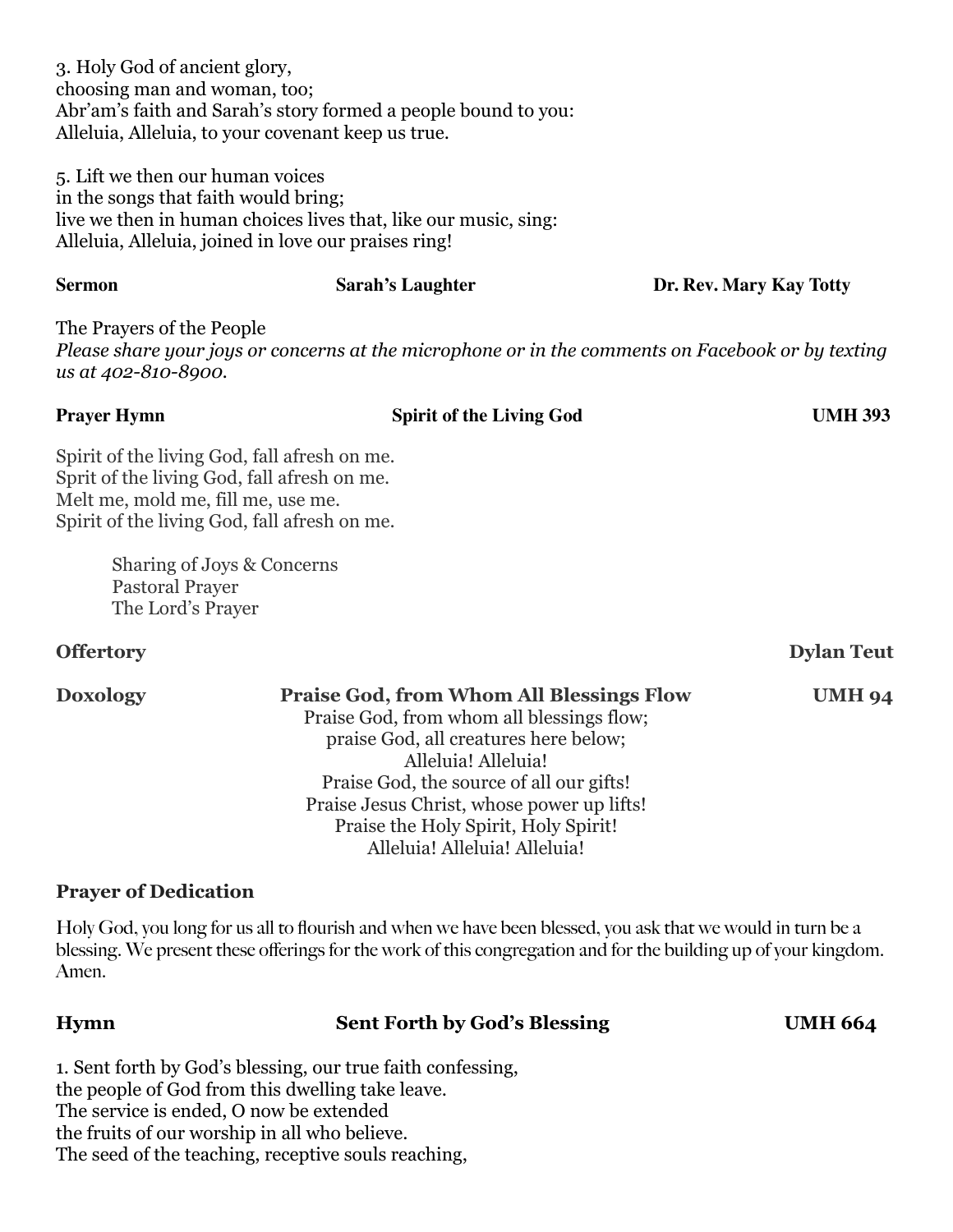3. Holy God of ancient glory, choosing man and woman, too; Abr'am's faith and Sarah's story formed a people bound to you: Alleluia, Alleluia, to your covenant keep us true.

5. Lift we then our human voices in the songs that faith would bring; live we then in human choices lives that, like our music, sing: Alleluia, Alleluia, joined in love our praises ring!

# **Sermon Sarah's Laughter Br. Rev. Mary Kay Totty** The Prayers of the People *Please share your joys or concerns at the microphone or in the comments on Facebook or by texting us at 402-810-8900.* **Prayer Hymn** Spirit of the Living God UMH 393 Spirit of the living God, fall afresh on me. Sprit of the living God, fall afresh on me. Melt me, mold me, fill me, use me. Spirit of the living God, fall afresh on me. Sharing of Joys & Concerns

Pastoral Prayer The Lord's Prayer

### **Offertory Dylan Teut**

## **Doxology Praise God, from Whom All Blessings Flow UMH 94** Praise God, from whom all blessings flow;

praise God, all creatures here below; Alleluia! Alleluia! Praise God, the source of all our gifts! Praise Jesus Christ, whose power up lifts! Praise the Holy Spirit, Holy Spirit! Alleluia! Alleluia! Alleluia!

### **Prayer of Dedication**

Holy God, you long for us all to flourish and when we have been blessed, you ask that we would in turn be a blessing. We present these offerings for the work of this congregation and for the building up of your kingdom. Amen.

### **Hymn Sent Forth by God's Blessing UMH 664**

1. Sent forth by God's blessing, our true faith confessing, the people of God from this dwelling take leave. The service is ended, O now be extended the fruits of our worship in all who believe. The seed of the teaching, receptive souls reaching,